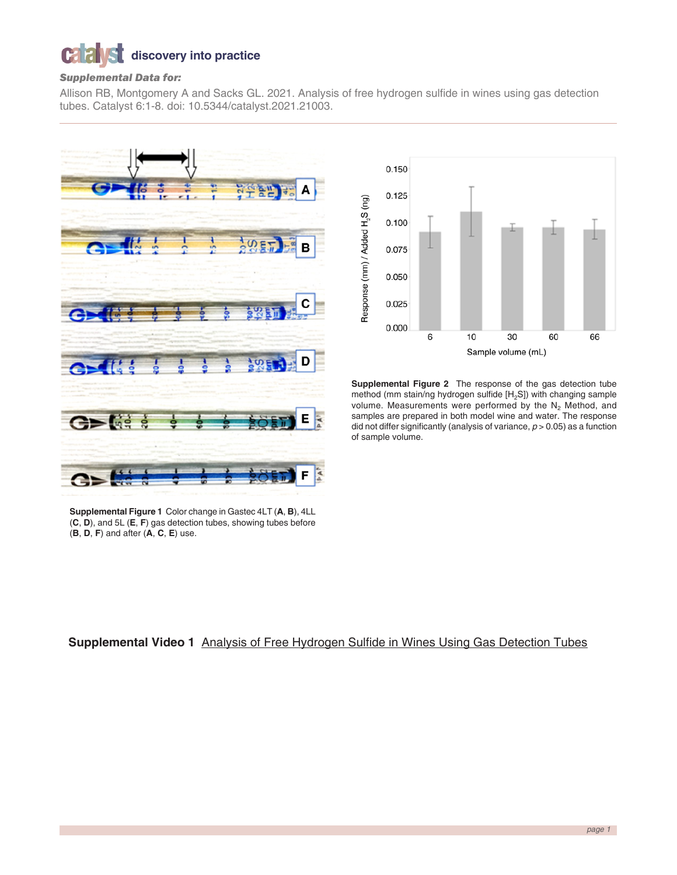## $\mathbf{C}$ **discovery into practice**

## *Supplemental Data for:*

Allison RB, Montgomery A and Sacks GL. 2021. Analysis of free hydrogen sulfide in wines using gas detection tubes. Catalyst 6:1-8. doi: 10.5344/catalyst.2021.21003.





**Supplemental Figure 2** The response of the gas detection tube method (mm stain/ng hydrogen sulfide [H<sub>2</sub>S]) with changing sample volume. Measurements were performed by the  $N_2$  Method, and samples are prepared in both model wine and water. The response did not differ significantly (analysis of variance, *p* > 0.05) as a function of sample volume.

**Supplemental Figure 1** Color change in Gastec 4LT (**A**, **B**), 4LL (**C**, **D**), and 5L (**E**, **F**) gas detection tubes, showing tubes before (**B**, **D**, **F**) and after (**A**, **C**, **E**) use.

# **Supplemental Video 1** [Analysis of Free Hydrogen Sulfide in Wines Using Gas Detection Tubes](https://www.youtube.com/watch?v=ulLZ75ZOzQ4)